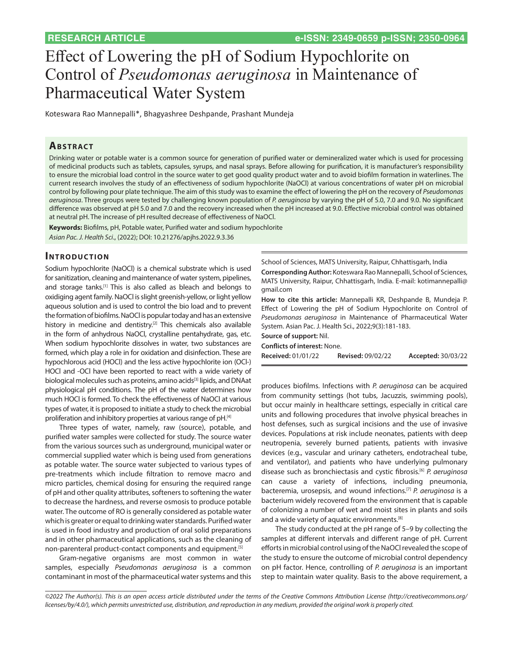# Effect of Lowering the pH of Sodium Hypochlorite on Control of *Pseudomonas aeruginosa* in Maintenance of Pharmaceutical Water System

Koteswara Rao Mannepalli\*, Bhagyashree Deshpande, Prashant Mundeja

## **ABSTRACT**

Drinking water or potable water is a common source for generation of purified water or demineralized water which is used for processing of medicinal products such as tablets, capsules, syrups, and nasal sprays. Before allowing for purification, it is manufacturer's responsibility to ensure the microbial load control in the source water to get good quality product water and to avoid biofilm formation in waterlines. The current research involves the study of an effectiveness of sodium hypochlorite (NaOCl) at various concentrations of water pH on microbial control by following pour plate technique. The aim of this study was to examine the effect of lowering the pH on the recovery of *Pseudomonas aeruginosa*. Three groups were tested by challenging known population of *P. aeruginosa* by varying the pH of 5.0, 7.0 and 9.0. No significant difference was observed at pH 5.0 and 7.0 and the recovery increased when the pH increased at 9.0. Effective microbial control was obtained at neutral pH. The increase of pH resulted decrease of effectiveness of NaOCl.

**Keywords:** Biofilms, pH, Potable water, Purified water and sodium hypochlorite *Asian Pac. J. Health Sci*., (2022); DOI: 10.21276/apjhs.2022.9.3.36

#### **INTRODUCTION**

Sodium hypochlorite (NaOCl) is a chemical substrate which is used for sanitization, cleaning and maintenance of water system, pipelines, and storage tanks.[1] This is also called as bleach and belongs to oxidiging agent family. NaOCl is slight greenish-yellow, or light yellow aqueous solution and is used to control the bio load and to prevent the formation of biofilms. NaOCl is popular today and has an extensive history in medicine and dentistry.<sup>[2]</sup> This chemicals also available in the form of anhydrous NaOCl, crystalline pentahydrate, gas, etc. When sodium hypochlorite dissolves in water, two substances are formed, which play a role in for oxidation and disinfection. These are hypochlorous acid (HOCl) and the less active hypochlorite ion (OCl-) HOCl and -OCl have been reported to react with a wide variety of biological molecules such as proteins, amino acids<sup>[3]</sup> lipids, and DNAat physiological pH conditions. The pH of the water determines how much HOCl is formed. To check the effectiveness of NaOCl at various types of water, it is proposed to initiate a study to check the microbial proliferation and inhibitory properties at various range of pH.[4]

Three types of water, namely, raw (source), potable, and purified water samples were collected for study. The source water from the various sources such as underground, municipal water or commercial supplied water which is being used from generations as potable water. The source water subjected to various types of pre-treatments which include filtration to remove macro and micro particles, chemical dosing for ensuring the required range of pH and other quality attributes, softeners to softening the water to decrease the hardness, and reverse osmosis to produce potable water. The outcome of RO is generally considered as potable water which is greater or equal to drinking water standards. Purified water is used in food industry and production of oral solid preparations and in other pharmaceutical applications, such as the cleaning of non-parenteral product-contact components and equipment.[5]

Gram-negative organisms are most common in water samples, especially *Pseudomonas aeruginosa* is a common contaminant in most of the pharmaceutical water systems and this

School of Sciences, MATS University, Raipur, Chhattisgarh, India

**Corresponding Author:** Koteswara Rao Mannepalli, School of Sciences, MATS University, Raipur, Chhattisgarh, India. E-mail: kotimannepalli@ gmail.com

**How to cite this article:** Mannepalli KR, Deshpande B, Mundeja P. Effect of Lowering the pH of Sodium Hypochlorite on Control of *Pseudomonas aeruginosa* in Maintenance of Pharmaceutical Water System. Asian Pac. J. Health Sci., 2022;9(3):181-183.

**Source of support:** Nil.

**Conflicts of interest:** None.

**Received:** 01/01/22 **Revised:** 09/02/22 **Accepted:** 30/03/22

produces biofilms. Infections with *P. aeruginosa* can be acquired from community settings (hot tubs, Jacuzzis, swimming pools), but occur mainly in healthcare settings, especially in critical care units and following procedures that involve physical breaches in host defenses, such as surgical incisions and the use of invasive devices. Populations at risk include neonates, patients with deep neutropenia, severely burned patients, patients with invasive devices (e.g., vascular and urinary catheters, endotracheal tube, and ventilator), and patients who have underlying pulmonary disease such as bronchiectasis and cystic fibrosis.[6] *P. aeruginosa*  can cause a variety of infections, including pneumonia, bacteremia, urosepsis, and wound infections.[7] *P. aeruginosa* is a bacterium widely recovered from the environment that is capable of colonizing a number of wet and moist sites in plants and soils and a wide variety of aquatic environments.[8]

The study conducted at the pH range of 5–9 by collecting the samples at different intervals and different range of pH. Current efforts in microbial control using of the NaOCl revealed the scope of the study to ensure the outcome of microbial control dependency on pH factor. Hence, controlling of *P. aeruginosa* is an important step to maintain water quality. Basis to the above requirement, a

*<sup>©2022</sup> The Author(s). This is an open access article distributed under the terms of the Creative Commons Attribution License (http://creativecommons.org/ licenses/by/4.0/), which permits unrestricted use, distribution, and reproduction in any medium, provided the original work is properly cited.*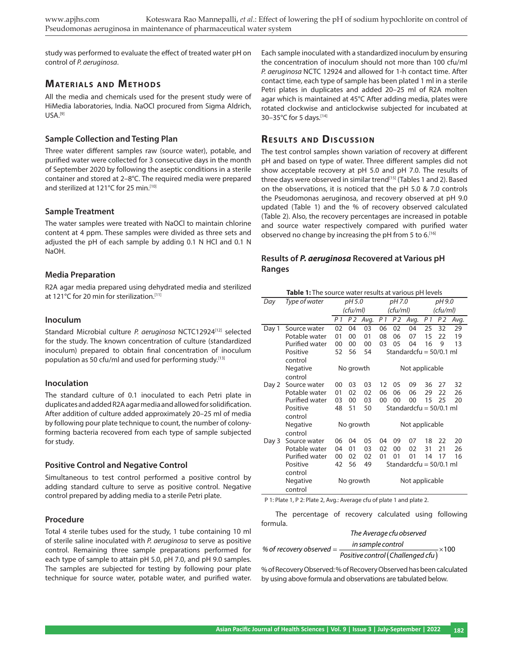study was performed to evaluate the effect of treated water pH on control of *P. aeruginosa*.

# **MATERIALS AND METHODS**

All the media and chemicals used for the present study were of HiMedia laboratories, India. NaOCl procured from Sigma Aldrich, USA.[9]

#### **Sample Collection and Testing Plan**

Three water different samples raw (source water), potable, and purified water were collected for 3 consecutive days in the month of September 2020 by following the aseptic conditions in a sterile container and stored at 2–8°C. The required media were prepared and sterilized at 121°C for 25 min.[10]

#### **Sample Treatment**

The water samples were treated with NaOCl to maintain chlorine content at 4 ppm. These samples were divided as three sets and adjusted the pH of each sample by adding 0.1 N HCl and 0.1 N NaOH.

#### **Media Preparation**

R2A agar media prepared using dehydrated media and sterilized at 121°C for 20 min for sterilization.<sup>[11]</sup>

#### **Inoculum**

Standard Microbial culture *P. aeruginosa* NCTC12924[12] selected for the study. The known concentration of culture (standardized inoculum) prepared to obtain final concentration of inoculum population as 50 cfu/ml and used for performing study.[13]

### **Inoculation**

The standard culture of 0.1 inoculated to each Petri plate in duplicates and added R2A agar media and allowed for solidification. After addition of culture added approximately 20–25 ml of media by following pour plate technique to count, the number of colonyforming bacteria recovered from each type of sample subjected for study.

### **Positive Control and Negative Control**

Simultaneous to test control performed a positive control by adding standard culture to serve as positive control. Negative control prepared by adding media to a sterile Petri plate.

#### **Procedure**

Total 4 sterile tubes used for the study, 1 tube containing 10 ml of sterile saline inoculated with *P. aeruginosa* to serve as positive control. Remaining three sample preparations performed for each type of sample to attain pH 5.0, pH 7.0, and pH 9.0 samples. The samples are subjected for testing by following pour plate technique for source water, potable water, and purified water. Each sample inoculated with a standardized inoculum by ensuring the concentration of inoculum should not more than 100 cfu/ml *P. aeruginosa* NCTC 12924 and allowed for 1-h contact time. After contact time, each type of sample has been plated 1 ml in a sterile Petri plates in duplicates and added 20–25 ml of R2A molten agar which is maintained at 45°C After adding media, plates were rotated clockwise and anticlockwise subjected for incubated at 30–35°C for 5 days.[14]

# **RESULTS AND DISCUSSION**

The test control samples shown variation of recovery at different pH and based on type of water. Three different samples did not show acceptable recovery at pH 5.0 and pH 7.0. The results of three days were observed in similar trend<sup>[15]</sup> (Tables 1 and 2). Based on the observations, it is noticed that the pH 5.0 & 7.0 controls the Pseudomonas aeruginosa, and recovery observed at pH 9.0 updated (Table 1) and the % of recovery observed calculated (Table 2). Also, the recovery percentages are increased in potable and source water respectively compared with purified water observed no change by increasing the pH from 5 to 6.[16]

# **Results of** *P. aeruginosa* **Recovered at Various pH Ranges**

| <b>Table 1:</b> The source water results at various pH levels |                       |           |                |          |                           |                |          |                |                |      |
|---------------------------------------------------------------|-----------------------|-----------|----------------|----------|---------------------------|----------------|----------|----------------|----------------|------|
| Day                                                           | Type of water         | pH 5.0    |                | pH 7.0   |                           |                | pH 9.0   |                |                |      |
|                                                               |                       | (cfu/ml)  |                | (cfu/ml) |                           |                | (cfu/ml) |                |                |      |
|                                                               |                       | P 1       | P <sub>2</sub> | Avg.     | P 1                       | P <sub>2</sub> | Avg.     | P <sub>1</sub> | P <sub>2</sub> | Avg. |
| Day 1                                                         | Source water          | 02        | 04             | 03       | 06                        | 02             | 04       | 25             | 32             | 29   |
|                                                               | Potable water         | 01        | 00             | 01       | 08                        | 06             | 07       | 15             | 22             | 19   |
|                                                               | Purified water        | 00        | 00             | 00       | 03                        | 05             | 04       | 16             | 9              | 13   |
|                                                               | Positive              | 52        | 56             | 54       | Standardcfu = 50/0.1 ml   |                |          |                |                |      |
|                                                               | control               |           |                |          |                           |                |          |                |                |      |
|                                                               | Negative              | No growth |                |          | Not applicable            |                |          |                |                |      |
|                                                               | control               |           |                |          |                           |                |          |                |                |      |
| Day 2                                                         | Source water          | 00        | 03             | 03       | 12                        | 05             | 09       | 36             | 27             | 32   |
|                                                               | Potable water         | 01        | 02             | 02       | 06                        | 06             | 06       | 29             | 22             | 26   |
|                                                               | <b>Purified water</b> | 03        | 00             | 03       | 00                        | 00             | 00       | 15             | 25             | 20   |
|                                                               | Positive              | 48        | 51             | 50       | Standardcfu = $50/0.1$ ml |                |          |                |                |      |
|                                                               | control               |           |                |          |                           |                |          |                |                |      |
|                                                               | Negative              | No growth |                |          |                           | Not applicable |          |                |                |      |
|                                                               | control               |           |                |          |                           |                |          |                |                |      |
| Day 3                                                         | Source water          | 06        | 04             | 05       | 04                        | 09             | 07       | 18             | 22             | 20   |
|                                                               | Potable water         | 04        | 01             | 03       | 02                        | 00             | 02       | 31             | 21             | 26   |
|                                                               | Purified water        | 00        | 02             | 02       | 01                        | 01             | 01       | 14             | 17             | 16   |
|                                                               | Positive              | 42        | 56             | 49       | Standardcfu = $50/0.1$ ml |                |          |                |                |      |
|                                                               | control               |           |                |          |                           |                |          |                |                |      |
|                                                               | Negative              | No growth |                |          | Not applicable            |                |          |                |                |      |
|                                                               | control               |           |                |          |                           |                |          |                |                |      |

P 1: Plate 1, P 2: Plate 2, Avg.: Average cfu of plate 1 and plate 2.

The percentage of recovery calculated using following formula.

#### *The Average cfu observed*

% of recovery observed =  $\frac{in \: sample \: control}{Positive \: control (Challenged \: ctu)} \times 100$ 

% of Recovery Observed: % of Recovery Observed has been calculated by using above formula and observations are tabulated below.